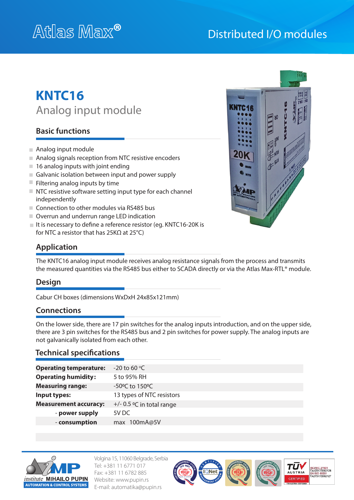## Distributed I/O modules

# **KNTC16** Analog input module

## **Basic functions**

- Analog input module
- Analog signals reception from NTC resistive encoders
- $\blacksquare$  16 analog inputs with joint ending
- Galvanic isolation between input and power supply
- $\blacksquare$  Filtering analog inputs by time
- NTC resistive software setting input type for each channel independently
- Connection to other modules via RS485 bus
- Overrun and underrun range LED indication
- $\blacksquare$  It is necessary to define a reference resistor (eq. KNTC16-20K is for NTC a resistor that has 25KΩ at 25°C)

## **Application**

The KNTC16 analog input module receives analog resistance signals from the process and transmits the measured quantities via the RS485 bus either to SCADA directly or via the Atlas Max-RTL® module.

#### **Design**

Cabur CH boxes (dimensions WxDxH 24x85x121mm)

#### **Connections**

On the lower side, there are 17 pin switches for the analog inputs introduction, and on the upper side, there are 3 pin switches for the RS485 bus and 2 pin switches for power supply. The analog inputs are not galvanically isolated from each other.

#### **Technical specifications**

| <b>Operating temperature:</b> | $-20$ to 60 °C              |
|-------------------------------|-----------------------------|
| <b>Operating humidity:</b>    | 5 to 95% RH                 |
| <b>Measuring range:</b>       | $-50^{\circ}$ C to 150 °C   |
| Input types:                  | 13 types of NTC resistors   |
| <b>Measurement accuracy:</b>  | $+/- 0.5$ °C in total range |
| - power supply                | 5V DC                       |
| - consumption                 | max 100mA@5V                |



Volgina 15, 11060 Belgrade, Serbia Tel: +381 11 6771 017 Fax: +381 11 6782 885 Website: www.pupin.rs E-mail: automatika@pupin.rs